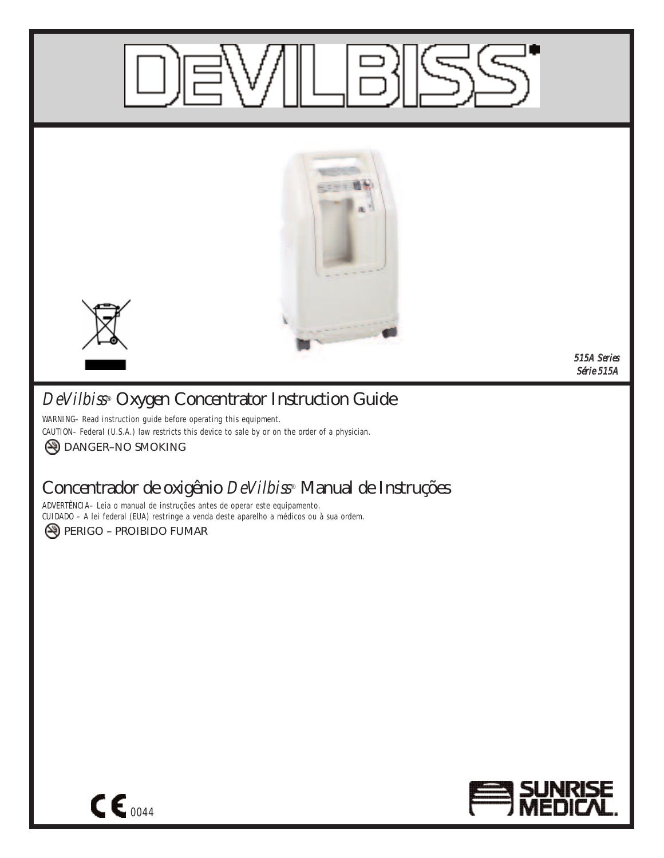

# *DeVilbiss***® Oxygen Concentrator Instruction Guide**

WARNING– Read instruction guide before operating this equipment. CAUTION– Federal (U.S.A.) law restricts this device to sale by or on the order of a physician. **A DANGER-NO SMOKING** 

# **Concentrador de oxigênio** *DeVilbiss***® Manual de Instruções**

ADVERTÊNCIA– Leia o manual de instruções antes de operar este equipamento. CUIDADO – A lei federal (EUA) restringe a venda deste aparelho a médicos ou à sua ordem. PERIGO – PROIBIDO FUMAR



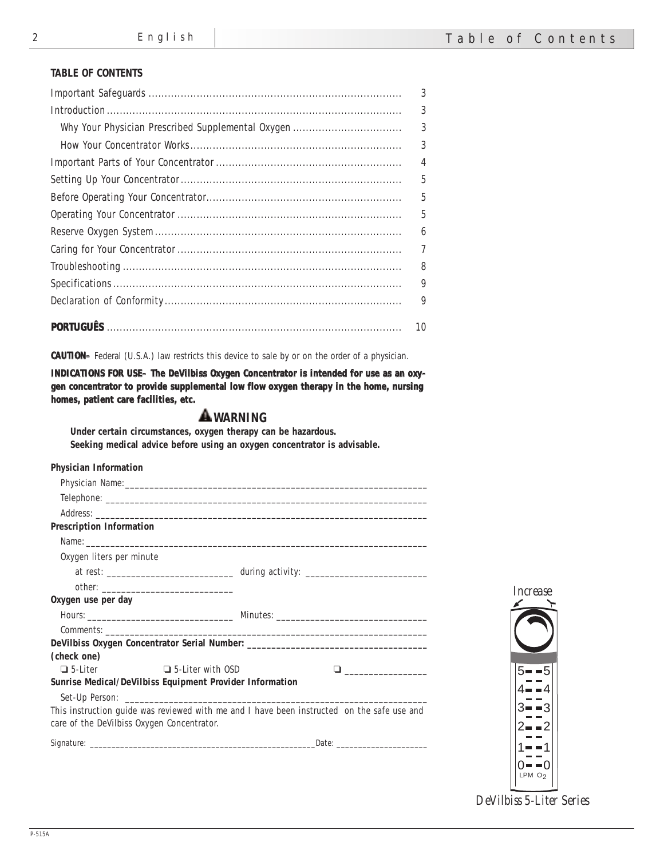## **TABLE OF CONTENTS**

| 3              |
|----------------|
| 3              |
| 3              |
| 3              |
| $\overline{4}$ |
| 5              |
| $\overline{5}$ |
| 5              |
| 6              |
| 7              |
| 8              |
| 9              |
| 9              |
| 10             |

**CAUTION–** Federal (U.S.A.) law restricts this device to sale by or on the order of a physician.

**INDICATIONS FOR USE– The DeVilbiss Oxygen Concentrator is intended for use as an oxygen concentrator to provide supplemental low flow oxygen therapy in the home, nursing homes, patient care facilities, etc.**

## **WARNING**

**Under certain circumstances, oxygen therapy can be hazardous. Seeking medical advice before using an oxygen concentrator is advisable.**

| <b>Physician Information</b>               |                                                                                            |                             |
|--------------------------------------------|--------------------------------------------------------------------------------------------|-----------------------------|
|                                            |                                                                                            |                             |
|                                            |                                                                                            |                             |
|                                            |                                                                                            |                             |
| <b>Prescription Information</b>            |                                                                                            |                             |
|                                            |                                                                                            |                             |
| Oxygen liters per minute                   |                                                                                            |                             |
|                                            |                                                                                            |                             |
|                                            |                                                                                            | <i>Increase</i>             |
| Oxygen use per day                         |                                                                                            |                             |
|                                            |                                                                                            |                             |
|                                            |                                                                                            |                             |
|                                            | DeVilbiss Oxygen Concentrator Serial Number: ___________________________________           |                             |
| (check one)                                |                                                                                            |                             |
| $\Box$ 5-Liter $\Box$ 5-Liter with OSD     |                                                                                            | $5 - -5$                    |
|                                            | <b>Sunrise Medical/DeVilbiss Equipment Provider Information</b>                            |                             |
|                                            |                                                                                            |                             |
|                                            | This instruction guide was reviewed with me and I have been instructed on the safe use and |                             |
| care of the DeVilbiss Oxygen Concentrator. |                                                                                            |                             |
|                                            |                                                                                            |                             |
|                                            |                                                                                            |                             |
|                                            |                                                                                            | ∩- -∩<br>LPM O <sub>2</sub> |

*DeVilbiss 5-Liter Series*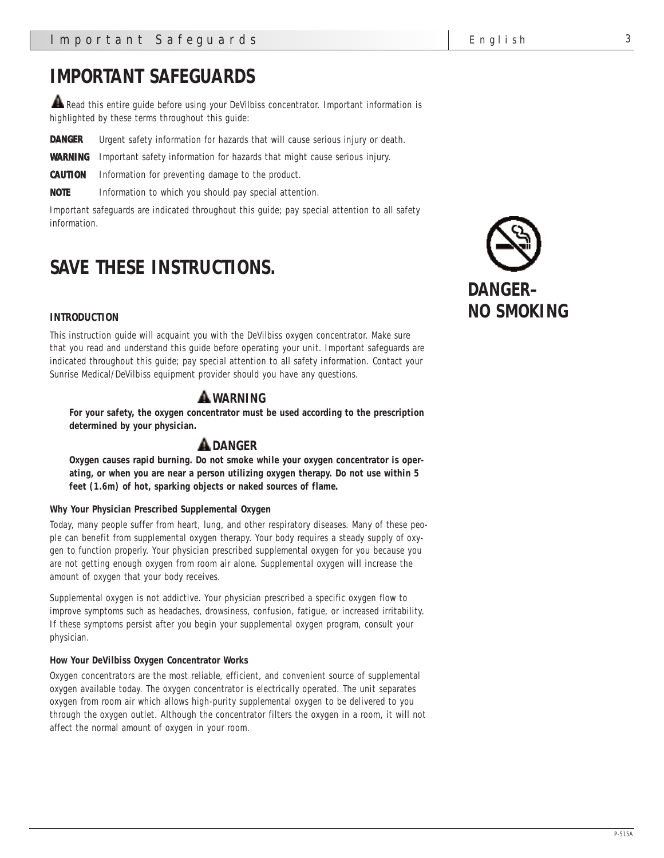# **IMPORTANT SAFEGUARDS**

Read this entire guide before using your DeVilbiss concentrator. Important information is highlighted by these terms throughout this guide:

**DANGER** Urgent safety information for hazards that will cause serious injury or death.

**WARNING** Important safety information for hazards that might cause serious injury.

**CAUTION** Information for preventing damage to the product.

**NOTE** Information to which you should pay special attention.

Important safeguards are indicated throughout this guide; pay special attention to all safety information.

# **SAVE THESE INSTRUCTIONS.**

#### **INTRODUCTION**

This instruction guide will acquaint you with the DeVilbiss oxygen concentrator. Make sure that you read and understand this guide before operating your unit. Important safeguards are indicated throughout this guide; pay special attention to all safety information. Contact your Sunrise Medical/DeVilbiss equipment provider should you have any questions.

# **WARNING**

**For your safety, the oxygen concentrator must be used according to the prescription determined by your physician.**

# **DANGER**

**Oxygen causes rapid burning. Do not smoke while your oxygen concentrator is operating, or when you are near a person utilizing oxygen therapy. Do not use within 5 feet (1.6m) of hot, sparking objects or naked sources of flame.**

#### **Why Your Physician Prescribed Supplemental Oxygen**

Today, many people suffer from heart, lung, and other respiratory diseases. Many of these people can benefit from supplemental oxygen therapy. Your body requires a steady supply of oxygen to function properly. Your physician prescribed supplemental oxygen for you because you are not getting enough oxygen from room air alone. Supplemental oxygen will increase the amount of oxygen that your body receives.

Supplemental oxygen is not addictive. Your physician prescribed a specific oxygen flow to improve symptoms such as headaches, drowsiness, confusion, fatigue, or increased irritability. If these symptoms persist after you begin your supplemental oxygen program, consult your physician.

#### **How Your DeVilbiss Oxygen Concentrator Works**

Oxygen concentrators are the most reliable, efficient, and convenient source of supplemental oxygen available today. The oxygen concentrator is electrically operated. The unit separates oxygen from room air which allows high-purity supplemental oxygen to be delivered to you through the oxygen outlet. Although the concentrator filters the oxygen in a room, it will not affect the normal amount of oxygen in your room.

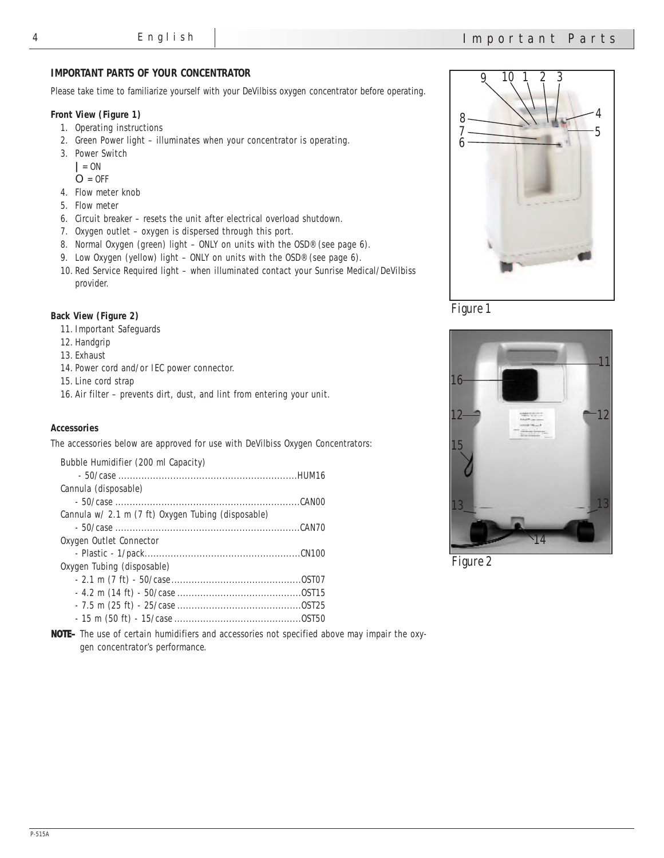### **IMPORTANT PARTS OF YOUR CONCENTRATOR**

Please take time to familiarize yourself with your DeVilbiss oxygen concentrator before operating.

#### **Front View (Figure 1)**

- 1. Operating instructions
- 2. Green Power light illuminates when your concentrator is operating.
- 3. Power Switch
	- **|** = ON
	- $O = 0$ FF
- 4. Flow meter knob
- 5. Flow meter
- 6. Circuit breaker resets the unit after electrical overload shutdown.
- 7. Oxygen outlet oxygen is dispersed through this port.
- 8. Normal Oxygen (green) light ONLY on units with the OSD® (see page 6).
- 9. Low Oxygen (yellow) light ONLY on units with the OSD® (see page 6).
- 10. Red Service Required light when illuminated contact your Sunrise Medical/DeVilbiss provider.

#### **Back View (Figure 2)**

- 11. Important Safeguards
- 12. Handgrip
- 13. Exhaust
- 14. Power cord and/or IEC power connector.
- 15. Line cord strap
- 16. Air filter prevents dirt, dust, and lint from entering your unit.

#### **Accessories**

The accessories below are approved for use with DeVilbiss Oxygen Concentrators:

| Bubble Humidifier (200 ml Capacity)                |  |
|----------------------------------------------------|--|
|                                                    |  |
| Cannula (disposable)                               |  |
|                                                    |  |
| Cannula w/ 2.1 m (7 ft) Oxygen Tubing (disposable) |  |
|                                                    |  |
| Oxygen Outlet Connector                            |  |
|                                                    |  |
| Oxygen Tubing (disposable)                         |  |
|                                                    |  |
|                                                    |  |
|                                                    |  |
|                                                    |  |



*Figure 1*



*Figure 2*

**NOTE–** The use of certain humidifiers and accessories not specified above may impair the oxygen concentrator's performance.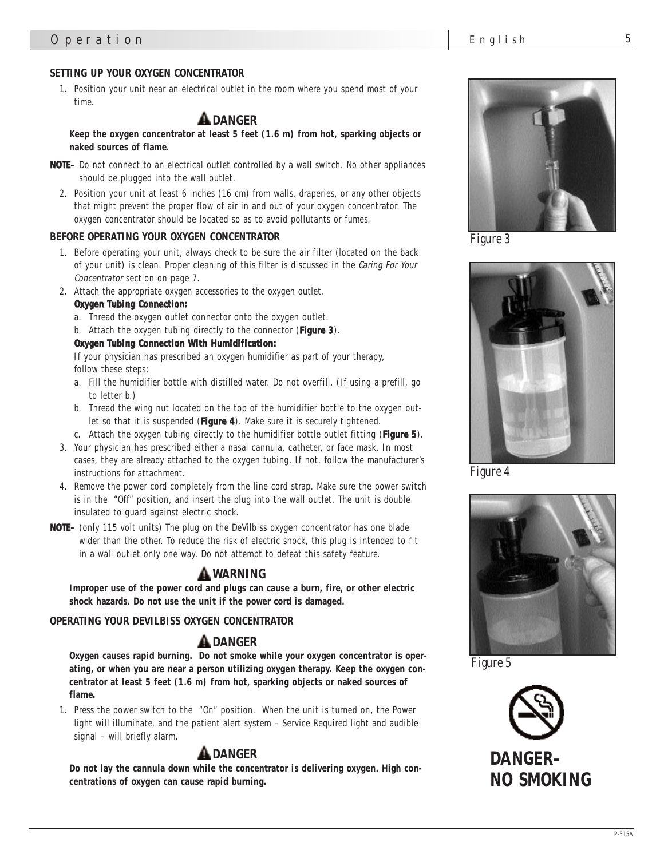# **SETTING UP YOUR OXYGEN CONCENTRATOR**

1. Position your unit near an electrical outlet in the room where you spend most of your time.

# **DANGER**

**Keep the oxygen concentrator at least 5 feet (1.6 m) from hot, sparking objects or naked sources of flame.**

- **NOTE–** Do not connect to an electrical outlet controlled by a wall switch. No other appliances should be plugged into the wall outlet.
	- 2. Position your unit at least 6 inches (16 cm) from walls, draperies, or any other objects that might prevent the proper flow of air in and out of your oxygen concentrator. The oxygen concentrator should be located so as to avoid pollutants or fumes.

#### **BEFORE OPERATING YOUR OXYGEN CONCENTRATOR**

- 1. Before operating your unit, always check to be sure the air filter (located on the back of your unit) is clean. Proper cleaning of this filter is discussed in the *Caring For Your Concentrator* section on page 7.
- 2. Attach the appropriate oxygen accessories to the oxygen outlet.

#### **Oxygen Tubing Connection:**

- a. Thread the oxygen outlet connector onto the oxygen outlet.
- b. Attach the oxygen tubing directly to the connector (**Figure 3**).

#### **Oxygen Tubing Connection With Humidification:**

If your physician has prescribed an oxygen humidifier as part of your therapy, follow these steps:

- a. Fill the humidifier bottle with distilled water. Do not overfill. (If using a prefill, go to letter b.)
- b. Thread the wing nut located on the top of the humidifier bottle to the oxygen outlet so that it is suspended (**Figure 4**). Make sure it is securely tightened.
- c. Attach the oxygen tubing directly to the humidifier bottle outlet fitting (**Figure 5**).
- 3. Your physician has prescribed either a nasal cannula, catheter, or face mask. In most cases, they are already attached to the oxygen tubing. If not, follow the manufacturer's instructions for attachment.
- 4. Remove the power cord completely from the line cord strap. Make sure the power switch is in the "Off" position, and insert the plug into the wall outlet. The unit is double insulated to guard against electric shock.
- **NOTE–** (only 115 volt units) The plug on the DeVilbiss oxygen concentrator has one blade wider than the other. To reduce the risk of electric shock, this plug is intended to fit in a wall outlet only one way. Do not attempt to defeat this safety feature.

# **WARNING**

**Improper use of the power cord and plugs can cause a burn, fire, or other electric shock hazards. Do not use the unit if the power cord is damaged.**

#### **OPERATING YOUR DEVILBISS OXYGEN CONCENTRATOR**

# **DANGER**

**Oxygen causes rapid burning. Do not smoke while your oxygen concentrator is operating, or when you are near a person utilizing oxygen therapy. Keep the oxygen concentrator at least 5 feet (1.6 m) from hot, sparking objects or naked sources of flame.**

1. Press the power switch to the "On" position. When the unit is turned on, the Power light will illuminate, and the patient alert system – Service Required light and audible signal – will briefly alarm.

# **A** DANGER

**Do not lay the cannula down while the concentrator is delivering oxygen. High concentrations of oxygen can cause rapid burning.**



*Figure 3*



*Figure 4*



*Figure 5*

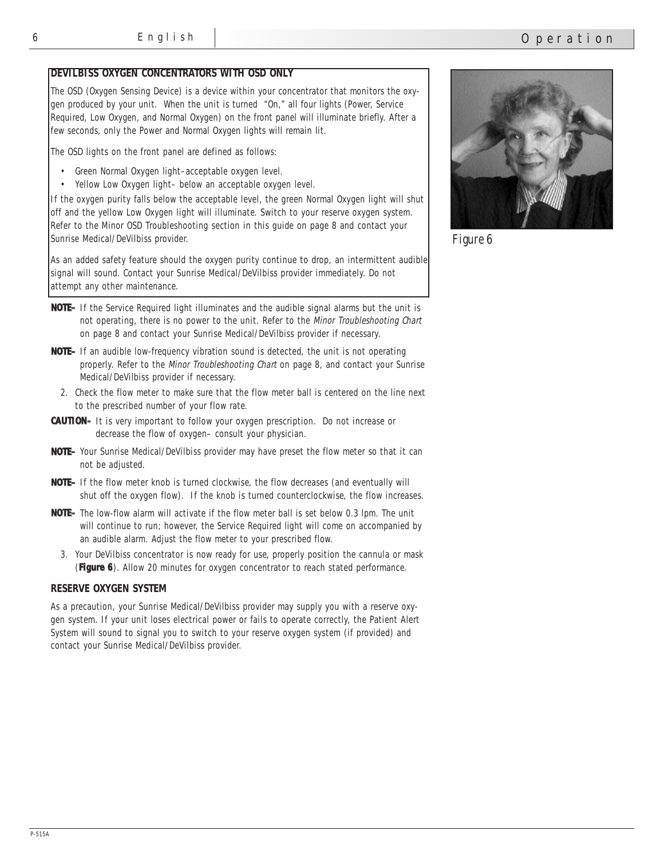#### **DEVILBISS OXYGEN CONCENTRATORS WITH OSD ONLY**

The OSD (Oxygen Sensing Device) is a device within your concentrator that monitors the oxygen produced by your unit. When the unit is turned "On," all four lights (Power, Service Required, Low Oxygen, and Normal Oxygen) on the front panel will illuminate briefly. After a few seconds, only the Power and Normal Oxygen lights will remain lit.

The OSD lights on the front panel are defined as follows:

- Green Normal Oxygen light–acceptable oxygen level.
- Yellow Low Oxygen light– below an acceptable oxygen level.

If the oxygen purity falls below the acceptable level, the green Normal Oxygen light will shut off and the yellow Low Oxygen light will illuminate. Switch to your reserve oxygen system. Refer to the Minor OSD Troubleshooting section in this guide on page 8 and contact your Sunrise Medical/DeVilbiss provider.

As an added safety feature should the oxygen purity continue to drop, an intermittent audible signal will sound. Contact your Sunrise Medical/DeVilbiss provider immediately. Do not attempt any other maintenance.

- **NOTE–** If the Service Required light illuminates and the audible signal alarms but the unit is not operating, there is no power to the unit. Refer to the *Minor Troubleshooting Chart* on page 8 and contact your Sunrise Medical/DeVilbiss provider if necessary.
- **NOTE–** If an audible low-frequency vibration sound is detected, the unit is not operating properly. Refer to the *Minor Troubleshooting Chart* on page 8, and contact your Sunrise Medical/DeVilbiss provider if necessary.
	- 2. Check the flow meter to make sure that the flow meter ball is centered on the line next to the prescribed number of your flow rate.
- **CAUTION–** It is very important to follow your oxygen prescription. Do not increase or decrease the flow of oxygen– consult your physician.
- **NOTE–** Your Sunrise Medical/DeVilbiss provider may have preset the flow meter so that it can not be adjusted.
- **NOTE–** If the flow meter knob is turned clockwise, the flow decreases (and eventually will shut off the oxygen flow). If the knob is turned counterclockwise, the flow increases.
- **NOTE–** The low-flow alarm will activate if the flow meter ball is set below 0.3 lpm. The unit will continue to run; however, the Service Required light will come on accompanied by an audible alarm. Adjust the flow meter to your prescribed flow.
	- 3. Your DeVilbiss concentrator is now ready for use, properly position the cannula or mask (**Figure 6**). Allow 20 minutes for oxygen concentrator to reach stated performance.

#### **RESERVE OXYGEN SYSTEM**

As a precaution, your Sunrise Medical/DeVilbiss provider may supply you with a reserve oxygen system. If your unit loses electrical power or fails to operate correctly, the Patient Alert System will sound to signal you to switch to your reserve oxygen system (if provided) and contact your Sunrise Medical/DeVilbiss provider.



*Operation*

*Figure 6*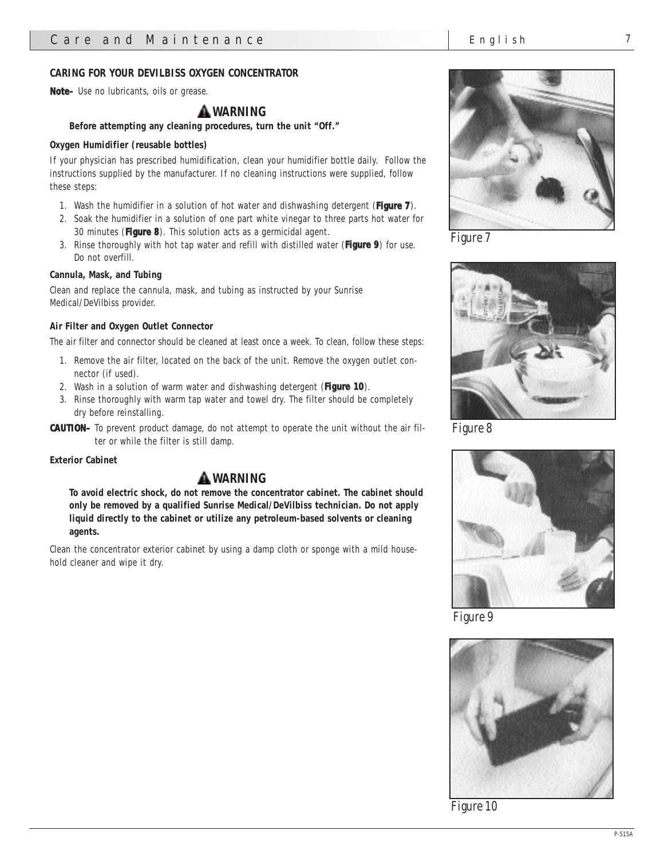#### **CARING FOR YOUR DEVILBISS OXYGEN CONCENTRATOR**

**Note–** Use no lubricants, oils or grease.

## **WARNING**

**Before attempting any cleaning procedures, turn the unit "Off."** 

#### **Oxygen Humidifier (reusable bottles)**

If your physician has prescribed humidification, clean your humidifier bottle daily. Follow the instructions supplied by the manufacturer. If no cleaning instructions were supplied, follow these steps:

- 1. Wash the humidifier in a solution of hot water and dishwashing detergent (**Figure 7**).
- 2. Soak the humidifier in a solution of one part white vinegar to three parts hot water for 30 minutes (**Figure 8**). This solution acts as a germicidal agent.
- 3. Rinse thoroughly with hot tap water and refill with distilled water (**Figure 9**) for use. Do not overfill.

#### **Cannula, Mask, and Tubing**

Clean and replace the cannula, mask, and tubing as instructed by your Sunrise Medical/DeVilbiss provider.

#### **Air Filter and Oxygen Outlet Connector**

The air filter and connector should be cleaned at least once a week. To clean, follow these steps:

- 1. Remove the air filter, located on the back of the unit. Remove the oxygen outlet connector (if used).
- 2. Wash in a solution of warm water and dishwashing detergent (**Figure 10**).
- 3. Rinse thoroughly with warm tap water and towel dry. The filter should be completely dry before reinstalling.

**CAUTION–** To prevent product damage, do not attempt to operate the unit without the air filter or while the filter is still damp.

#### **Exterior Cabinet**

## **WARNING**

**To avoid electric shock, do not remove the concentrator cabinet. The cabinet should only be removed by a qualified Sunrise Medical/DeVilbiss technician. Do not apply liquid directly to the cabinet or utilize any petroleum-based solvents or cleaning agents.**

Clean the concentrator exterior cabinet by using a damp cloth or sponge with a mild household cleaner and wipe it dry.



*Figure 7*



*Figure 8*



*Figure 9*



*Figure 10*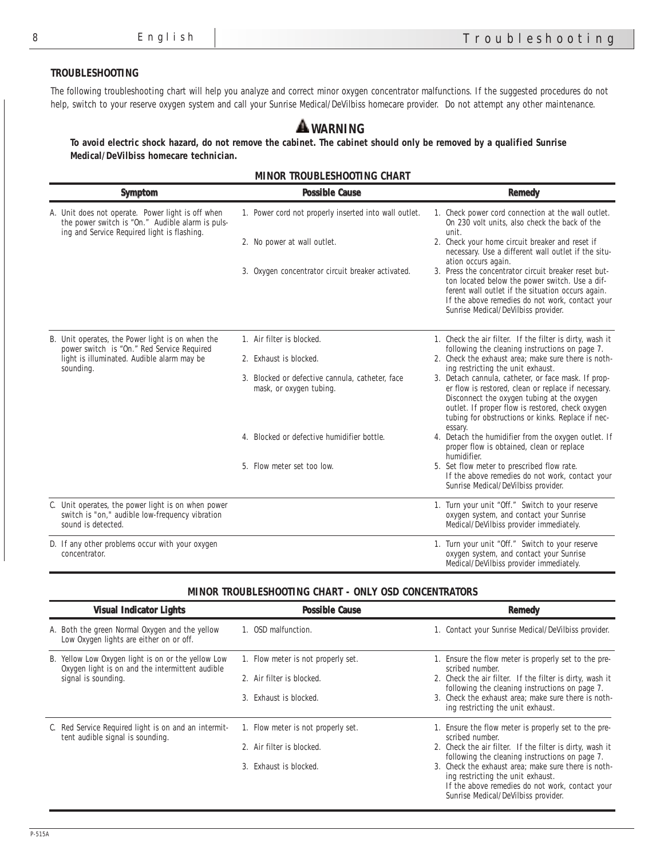#### **TROUBLESHOOTING**

The following troubleshooting chart will help you analyze and correct minor oxygen concentrator malfunctions. If the suggested procedures do not help, switch to your reserve oxygen system and call your Sunrise Medical/DeVilbiss homecare provider. Do not attempt any other maintenance.

# **WARNING**

**To avoid electric shock hazard, do not remove the cabinet. The cabinet should only be removed by a qualified Sunrise Medical/DeVilbiss homecare technician.**

|  | <b>MINOR TROUBLESHOOTING CHART</b> |  |  |  |
|--|------------------------------------|--|--|--|
|--|------------------------------------|--|--|--|

|  | <b>Symptom</b>                                                                                                                                       | <b>Possible Cause</b>                                                      | <b>Remedy</b>                                                                                                                                                                                                                                                                                                     |
|--|------------------------------------------------------------------------------------------------------------------------------------------------------|----------------------------------------------------------------------------|-------------------------------------------------------------------------------------------------------------------------------------------------------------------------------------------------------------------------------------------------------------------------------------------------------------------|
|  | A. Unit does not operate. Power light is off when<br>the power switch is "On." Audible alarm is puls-<br>ing and Service Required light is flashing. | 1. Power cord not properly inserted into wall outlet.                      | 1. Check power cord connection at the wall outlet.<br>On 230 volt units, also check the back of the<br>unit.                                                                                                                                                                                                      |
|  |                                                                                                                                                      | 2. No power at wall outlet.                                                | 2. Check your home circuit breaker and reset if<br>necessary. Use a different wall outlet if the situ-                                                                                                                                                                                                            |
|  |                                                                                                                                                      | 3. Oxygen concentrator circuit breaker activated.                          | ation occurs again.<br>3. Press the concentrator circuit breaker reset but-<br>ton located below the power switch. Use a dif-<br>ferent wall outlet if the situation occurs again.<br>If the above remedies do not work, contact your<br>Sunrise Medical/DeVilbiss provider.                                      |
|  | B. Unit operates, the Power light is on when the<br>power switch is "On." Red Service Required                                                       | 1. Air filter is blocked.                                                  | 1. Check the air filter. If the filter is dirty, wash it<br>following the cleaning instructions on page 7.                                                                                                                                                                                                        |
|  | light is illuminated. Audible alarm may be<br>sounding.                                                                                              | 2. Exhaust is blocked.                                                     | 2. Check the exhaust area; make sure there is noth-                                                                                                                                                                                                                                                               |
|  |                                                                                                                                                      | 3. Blocked or defective cannula, catheter, face<br>mask, or oxygen tubing. | ing restricting the unit exhaust.<br>3. Detach cannula, catheter, or face mask. If prop-<br>er flow is restored, clean or replace if necessary.<br>Disconnect the oxygen tubing at the oxygen<br>outlet. If proper flow is restored, check oxygen<br>tubing for obstructions or kinks. Replace if nec-<br>essary. |
|  |                                                                                                                                                      | 4. Blocked or defective humidifier bottle.                                 | 4. Detach the humidifier from the oxygen outlet. If<br>proper flow is obtained, clean or replace<br>humidifier.                                                                                                                                                                                                   |
|  |                                                                                                                                                      | 5. Flow meter set too low.                                                 | 5. Set flow meter to prescribed flow rate.<br>If the above remedies do not work, contact your<br>Sunrise Medical/DeVilbiss provider.                                                                                                                                                                              |
|  | C. Unit operates, the power light is on when power<br>switch is "on," audible low-frequency vibration<br>sound is detected.                          |                                                                            | 1. Turn your unit "Off." Switch to your reserve<br>oxygen system, and contact your Sunrise<br>Medical/DeVilbiss provider immediately.                                                                                                                                                                             |
|  | D. If any other problems occur with your oxygen<br>concentrator.                                                                                     |                                                                            | 1. Turn your unit "Off." Switch to your reserve<br>oxygen system, and contact your Sunrise<br>Medical/DeVilbiss provider immediately.                                                                                                                                                                             |

#### **MINOR TROUBLESHOOTING CHART - ONLY OSD CONCENTRATORS**

| <b>Visual Indicator Lights</b>                                                                                               | <b>Possible Cause</b>                                                                     | <b>Remedy</b>                                                                                                                                                                                                                                                                                                                                                            |
|------------------------------------------------------------------------------------------------------------------------------|-------------------------------------------------------------------------------------------|--------------------------------------------------------------------------------------------------------------------------------------------------------------------------------------------------------------------------------------------------------------------------------------------------------------------------------------------------------------------------|
| A. Both the green Normal Oxygen and the yellow<br>Low Oxygen lights are either on or off.                                    | 1. OSD malfunction.                                                                       | 1. Contact your Sunrise Medical/DeVilbiss provider.                                                                                                                                                                                                                                                                                                                      |
| B. Yellow Low Oxygen light is on or the yellow Low<br>Oxygen light is on and the intermittent audible<br>signal is sounding. | 1. Flow meter is not properly set.<br>2. Air filter is blocked.<br>3. Exhaust is blocked. | Ensure the flow meter is properly set to the pre-<br>scribed number.<br>2. Check the air filter. If the filter is dirty, wash it<br>following the cleaning instructions on page 7.<br>3. Check the exhaust area; make sure there is noth-<br>ing restricting the unit exhaust.                                                                                           |
| C. Red Service Required light is on and an intermit-<br>tent audible signal is sounding.                                     | 1. Flow meter is not properly set.<br>2. Air filter is blocked.<br>3. Exhaust is blocked. | Ensure the flow meter is properly set to the pre-<br>scribed number.<br>2. Check the air filter. If the filter is dirty, wash it<br>following the cleaning instructions on page 7.<br>3. Check the exhaust area; make sure there is noth-<br>ing restricting the unit exhaust.<br>If the above remedies do not work, contact your<br>Sunrise Medical/DeVilbiss provider. |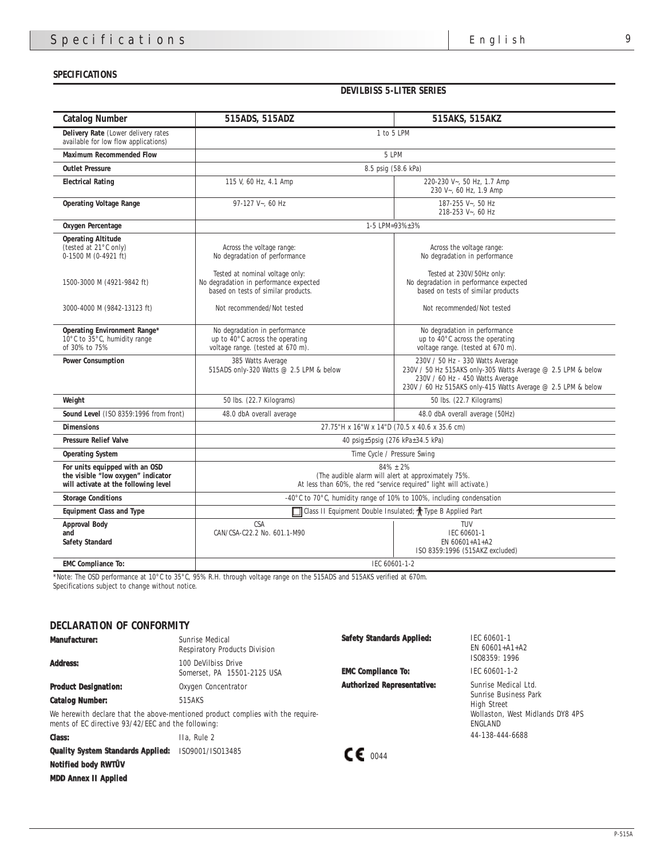#### **SPECIFICATIONS**

**DEVILBISS 5-LITER SERIES**

| <b>Catalog Number</b>                                                                                        | 515ADS, 515ADZ                                                                                                                              | 515AKS, 515AKZ                                                                                                                                                                                       |
|--------------------------------------------------------------------------------------------------------------|---------------------------------------------------------------------------------------------------------------------------------------------|------------------------------------------------------------------------------------------------------------------------------------------------------------------------------------------------------|
| <b>Delivery Rate</b> (Lower delivery rates<br>available for low flow applications)                           | 1 to 5 LPM                                                                                                                                  |                                                                                                                                                                                                      |
| <b>Maximum Recommended Flow</b>                                                                              |                                                                                                                                             | 5 LPM                                                                                                                                                                                                |
| <b>Outlet Pressure</b>                                                                                       |                                                                                                                                             | 8.5 psig (58.6 kPa)                                                                                                                                                                                  |
| <b>Electrical Rating</b>                                                                                     | 115 V, 60 Hz, 4.1 Amp                                                                                                                       | 220-230 V~, 50 Hz, 1.7 Amp<br>230 V~, 60 Hz, 1.9 Amp                                                                                                                                                 |
| <b>Operating Voltage Range</b>                                                                               | $97-127$ V $\sim$ , 60 Hz                                                                                                                   | 187-255 $V_{\sim}$ , 50 Hz<br>218-253 V~, 60 Hz                                                                                                                                                      |
| <b>Oxygen Percentage</b>                                                                                     |                                                                                                                                             | 1-5 LPM=93%±3%                                                                                                                                                                                       |
| <b>Operating Altitude</b><br>(tested at $21^{\circ}$ C only)<br>0-1500 M (0-4921 ft)                         | Across the voltage range:<br>No degradation of performance<br>Tested at nominal voltage only:                                               | Across the voltage range:<br>No degradation in performance<br>Tested at 230V/50Hz only:                                                                                                              |
| 1500-3000 M (4921-9842 ft)                                                                                   | No degradation in performance expected<br>based on tests of similar products.                                                               | No degradation in performance expected<br>based on tests of similar products                                                                                                                         |
| 3000-4000 M (9842-13123 ft)                                                                                  | Not recommended/Not tested                                                                                                                  | Not recommended/Not tested                                                                                                                                                                           |
| <b>Operating Environment Range*</b><br>$10^{\circ}$ C to $35^{\circ}$ C, humidity range<br>of 30% to 75%     | No degradation in performance<br>up to $40^{\circ}$ C across the operating<br>voltage range. (tested at 670 m).                             | No degradation in performance<br>up to $40^{\circ}$ C across the operating<br>voltage range. (tested at 670 m).                                                                                      |
| <b>Power Consumption</b>                                                                                     | 385 Watts Average<br>515ADS only-320 Watts @ 2.5 LPM & below                                                                                | 230V / 50 Hz - 330 Watts Average<br>230V / 50 Hz 515AKS only-305 Watts Average @ 2.5 LPM & below<br>230V / 60 Hz - 450 Watts Average<br>230V / 60 Hz 515AKS only-415 Watts Average @ 2.5 LPM & below |
| Weight                                                                                                       | 50 lbs. (22.7 Kilograms)                                                                                                                    | 50 lbs. (22.7 Kilograms)                                                                                                                                                                             |
| Sound Level (ISO 8359:1996 from front)                                                                       | 48.0 dbA overall average                                                                                                                    | 48.0 dbA overall average (50Hz)                                                                                                                                                                      |
| <b>Dimensions</b>                                                                                            | 27.75"H x 16"W x 14"D (70.5 x 40.6 x 35.6 cm)                                                                                               |                                                                                                                                                                                                      |
| <b>Pressure Relief Valve</b>                                                                                 |                                                                                                                                             | 40 psig $\pm$ 5psig (276 kPa $\pm$ 34.5 kPa)                                                                                                                                                         |
| <b>Operating System</b>                                                                                      | Time Cycle / Pressure Swing                                                                                                                 |                                                                                                                                                                                                      |
| For units equipped with an OSD<br>the visible "low oxygen" indicator<br>will activate at the following level | $84\% \pm 2\%$<br>(The audible alarm will alert at approximately 75%.<br>At less than 60%, the red "service required" light will activate.) |                                                                                                                                                                                                      |
| <b>Storage Conditions</b>                                                                                    | -40 $^{\circ}$ C to 70 $^{\circ}$ C, humidity range of 10% to 100%, including condensation                                                  |                                                                                                                                                                                                      |
| <b>Equipment Class and Type</b>                                                                              | Class II Equipment Double Insulated; $\dagger$ Type B Applied Part                                                                          |                                                                                                                                                                                                      |
| <b>Approval Body</b><br>and<br><b>Safety Standard</b>                                                        | <b>CSA</b><br>CAN/CSA-C22.2 No. 601.1-M90                                                                                                   | TUV<br>IEC 60601-1<br>EN 60601+A1+A2<br>ISO 8359:1996 (515AKZ excluded)                                                                                                                              |
| <b>EMC</b> Compliance To:                                                                                    | IEC 60601-1-2                                                                                                                               |                                                                                                                                                                                                      |

\*Note: The OSD performance at 10°C to 35°C, 95% R.H. through voltage range on the 515ADS and 515AKS verified at 670m. Specifications subject to change without notice.

## **DECLARATION OF CONFORMITY**

| <b>Manufacturer:</b>                               | Sunrise Medical<br><b>Respiratory Products Division</b>                         | <b>Safety Standards Applied:</b>  | IEC 60601-1<br>EN $60601 + A1 + A2$                |
|----------------------------------------------------|---------------------------------------------------------------------------------|-----------------------------------|----------------------------------------------------|
| <b>Address:</b>                                    | 100 DeVilbiss Drive<br>Somerset, PA 15501-2125 USA                              | <b>EMC</b> Compliance To:         | IS08359: 1996<br>IEC 60601-1-2                     |
| <b>Product Designation:</b>                        | Oxygen Concentrator                                                             | <b>Authorized Representative:</b> | Sunrise Medical Ltd.                               |
| <b>Catalog Number:</b><br>515AKS                   |                                                                                 |                                   | Sunrise Business Park<br><b>High Street</b>        |
| ments of EC directive 93/42/EEC and the following: | We herewith declare that the above-mentioned product complies with the require- |                                   | Wollaston, West Midlands DY8 4PS<br><b>ENGLAND</b> |
| <b>Class:</b>                                      | IIa. Rule 2                                                                     |                                   | 44-138-444-6688                                    |
| <b>Quality System Standards Applied:</b>           | IS09001/IS013485                                                                | $\mathcal{L}$ $\epsilon$ 0044     |                                                    |
| Notified body RWIUV                                |                                                                                 |                                   |                                                    |

**MDD Annex II Applied**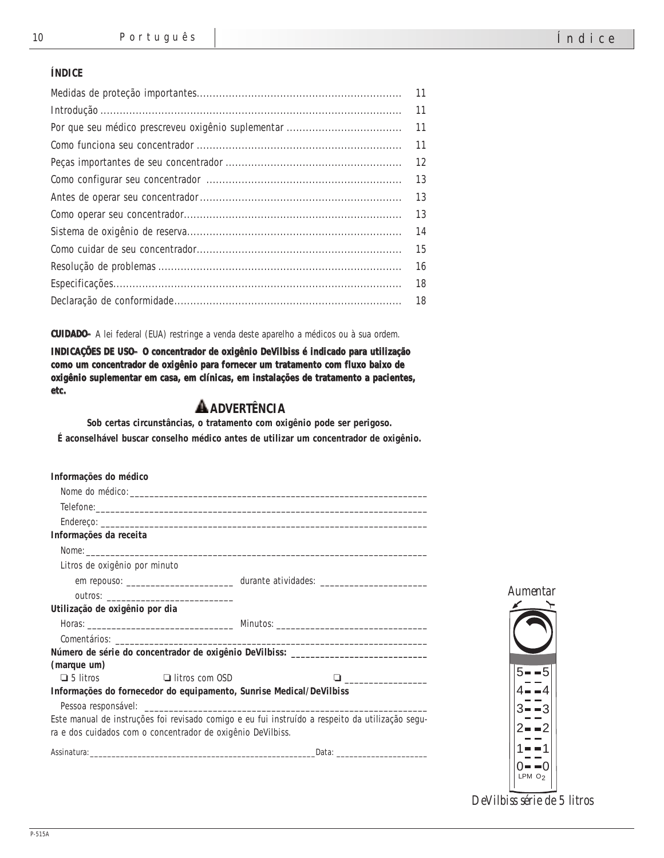### **ÍNDICE**

| 11 |
|----|
| 11 |
| 11 |
| 11 |
| 12 |
| 13 |
| 13 |
| 13 |
| 14 |
| 15 |
| 16 |
| 18 |
| 18 |

**CUIDADO–** A lei federal (EUA) restringe a venda deste aparelho a médicos ou à sua ordem.

**INDICAÇÕES DE USO– O concentrador de oxigênio DeVilbiss é indicado para utilização como um concentrador de oxigênio para fornecer um tratamento com fluxo baixo de oxigênio suplementar em casa, em clínicas, em instalações de tratamento a pacientes, etc.**

# **ADVERTÊNCIA**

**Sob certas circunstâncias, o tratamento com oxigênio pode ser perigoso. É aconselhável buscar conselho médico antes de utilizar um concentrador de oxigênio.**

| Informações do médico          |                                                             |                                                                                                 |                        |
|--------------------------------|-------------------------------------------------------------|-------------------------------------------------------------------------------------------------|------------------------|
|                                |                                                             |                                                                                                 |                        |
|                                |                                                             |                                                                                                 |                        |
|                                |                                                             |                                                                                                 |                        |
| Informações da receita         |                                                             |                                                                                                 |                        |
|                                |                                                             |                                                                                                 |                        |
| Litros de oxigênio por minuto  |                                                             |                                                                                                 |                        |
|                                |                                                             |                                                                                                 |                        |
|                                |                                                             |                                                                                                 | <i><b>Aumentar</b></i> |
| Utilização de oxigênio por dia |                                                             |                                                                                                 |                        |
|                                |                                                             |                                                                                                 |                        |
|                                |                                                             |                                                                                                 |                        |
|                                |                                                             | Número de série do concentrador de oxigênio DeVilbiss: _________________________                |                        |
| (marque um)                    |                                                             |                                                                                                 |                        |
| $\Box$ 5 litros                | $\Box$ litros com OSD                                       |                                                                                                 |                        |
|                                |                                                             | Informações do fornecedor do equipamento, Sunrise Medical/DeVilbiss                             |                        |
|                                |                                                             |                                                                                                 |                        |
|                                |                                                             | Este manual de instruções foi revisado comigo e eu fui instruído a respeito da utilização segu- |                        |
|                                | ra e dos cuidados com o concentrador de oxigênio DeVilbiss. |                                                                                                 |                        |
|                                |                                                             |                                                                                                 |                        |
|                                |                                                             |                                                                                                 |                        |
|                                |                                                             |                                                                                                 | LPMO <sub>2</sub>      |

*DeVilbiss série de 5 litros*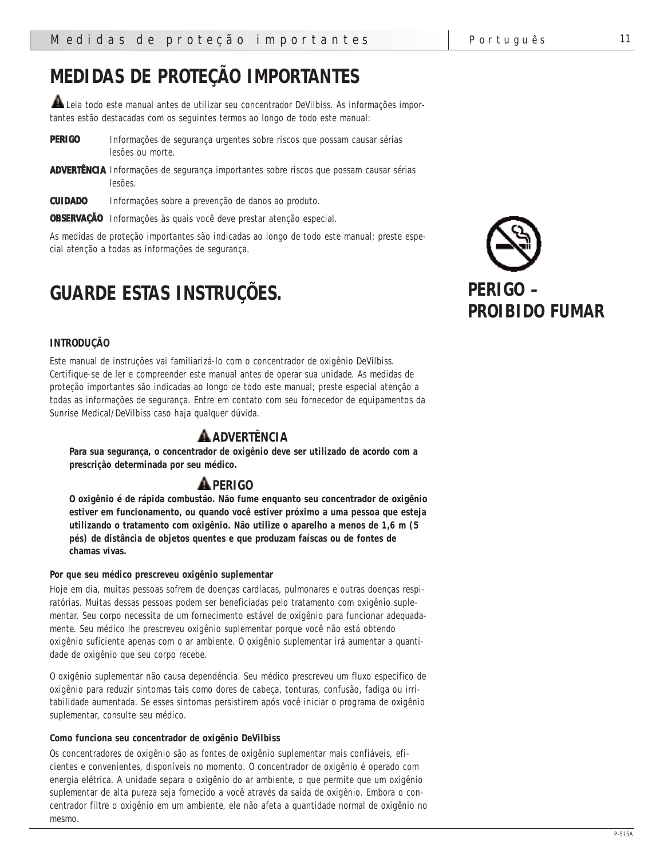# **MEDIDAS DE PROTEÇÃO IMPORTANTES**

 $\blacktriangle$  Leia todo este manual antes de utilizar seu concentrador DeVilbiss. As informações importantes estão destacadas com os seguintes termos ao longo de todo este manual:

**PERIGO** Informações de segurança urgentes sobre riscos que possam causar sérias lesões ou morte.

**ADVERTÊNCIA** Informações de segurança importantes sobre riscos que possam causar sérias lesões.

**CUIDADO** Informações sobre a prevenção de danos ao produto.

**OBSERVAÇÃO** Informações às quais você deve prestar atenção especial.

As medidas de proteção importantes são indicadas ao longo de todo este manual; preste especial atenção a todas as informações de segurança.

# **GUARDE ESTAS INSTRUÇÕES.**

## **INTRODUÇÃO**

Este manual de instruções vai familiarizá-lo com o concentrador de oxigênio DeVilbiss. Certifique-se de ler e compreender este manual antes de operar sua unidade. As medidas de proteção importantes são indicadas ao longo de todo este manual; preste especial atenção a todas as informações de segurança. Entre em contato com seu fornecedor de equipamentos da Sunrise Medical/DeVilbiss caso haja qualquer dúvida.

# **ADVERTÊNCIA**

**Para sua segurança, o concentrador de oxigênio deve ser utilizado de acordo com a prescrição determinada por seu médico.**

# **PERIGO**

**O oxigênio é de rápida combustão. Não fume enquanto seu concentrador de oxigênio estiver em funcionamento, ou quando você estiver próximo a uma pessoa que esteja utilizando o tratamento com oxigênio. Não utilize o aparelho a menos de 1,6 m (5 pés) de distância de objetos quentes e que produzam faíscas ou de fontes de chamas vivas.**

#### **Por que seu médico prescreveu oxigênio suplementar**

Hoje em dia, muitas pessoas sofrem de doenças cardíacas, pulmonares e outras doenças respiratórias. Muitas dessas pessoas podem ser beneficiadas pelo tratamento com oxigênio suplementar. Seu corpo necessita de um fornecimento estável de oxigênio para funcionar adequadamente. Seu médico lhe prescreveu oxigênio suplementar porque você não está obtendo oxigênio suficiente apenas com o ar ambiente. O oxigênio suplementar irá aumentar a quantidade de oxigênio que seu corpo recebe.

O oxigênio suplementar não causa dependência. Seu médico prescreveu um fluxo específico de oxigênio para reduzir sintomas tais como dores de cabeça, tonturas, confusão, fadiga ou irritabilidade aumentada. Se esses sintomas persistirem após você iniciar o programa de oxigênio suplementar, consulte seu médico.

#### **Como funciona seu concentrador de oxigênio DeVilbiss**

Os concentradores de oxigênio são as fontes de oxigênio suplementar mais confiáveis, eficientes e convenientes, disponíveis no momento. O concentrador de oxigênio é operado com energia elétrica. A unidade separa o oxigênio do ar ambiente, o que permite que um oxigênio suplementar de alta pureza seja fornecido a você através da saída de oxigênio. Embora o concentrador filtre o oxigênio em um ambiente, ele não afeta a quantidade normal de oxigênio no mesmo.

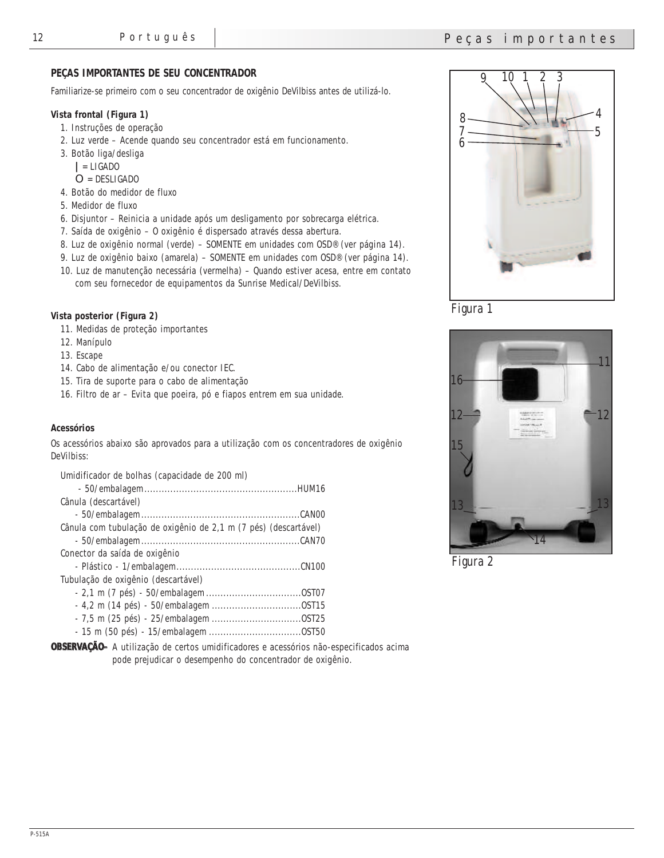### **PEÇAS IMPORTANTES DE SEU CONCENTRADOR**

Familiarize-se primeiro com o seu concentrador de oxigênio DeVilbiss antes de utilizá-lo.

#### **Vista frontal (Figura 1)**

- 1. Instruções de operação
- 2. Luz verde Acende quando seu concentrador está em funcionamento.
- 3. Botão liga/desliga
	- **|** = LIGADO
- O = DESLIGADO
- 4. Botão do medidor de fluxo
- 5. Medidor de fluxo
- 6. Disjuntor Reinicia a unidade após um desligamento por sobrecarga elétrica.
- 7. Saída de oxigênio O oxigênio é dispersado através dessa abertura.
- 8. Luz de oxigênio normal (verde) SOMENTE em unidades com OSD® (ver página 14).
- 9. Luz de oxigênio baixo (amarela) SOMENTE em unidades com OSD® (ver página 14).
- 10. Luz de manutenção necessária (vermelha) Quando estiver acesa, entre em contato com seu fornecedor de equipamentos da Sunrise Medical/DeVilbiss.

#### **Vista posterior (Figura 2)**

- 11. Medidas de proteção importantes
- 12. Manípulo
- 13. Escape
- 14. Cabo de alimentação e/ou conector IEC.
- 15. Tira de suporte para o cabo de alimentação
- 16. Filtro de ar Evita que poeira, pó e fiapos entrem em sua unidade.

#### **Acessórios**

Os acessórios abaixo são aprovados para a utilização com os concentradores de oxigênio DeVilbiss:

| Umidificador de bolhas (capacidade de 200 ml)                   |  |
|-----------------------------------------------------------------|--|
|                                                                 |  |
| Cânula (descartável)                                            |  |
|                                                                 |  |
| Cânula com tubulação de oxigênio de 2,1 m (7 pés) (descartável) |  |
|                                                                 |  |
| Conector da saída de oxigênio                                   |  |
|                                                                 |  |
| Tubulação de oxigênio (descartável)                             |  |
|                                                                 |  |
|                                                                 |  |
|                                                                 |  |
|                                                                 |  |

**OBSERVAÇÃO–** A utilização de certos umidificadores e acessórios não-especificados acima pode prejudicar o desempenho do concentrador de oxigênio.



*Figura 1*



*Figura 2*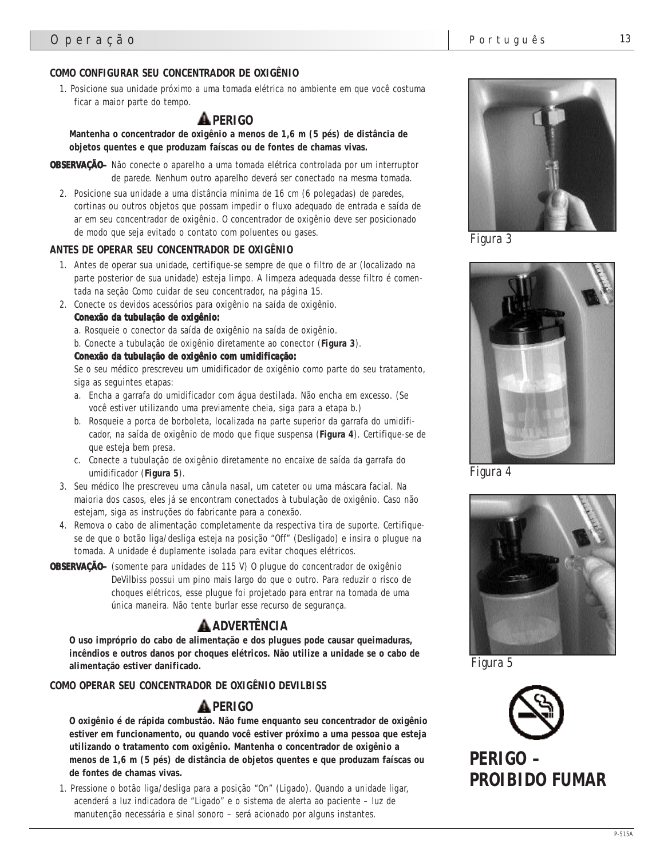## **COMO CONFIGURAR SEU CONCENTRADOR DE OXIGÊNIO**

1. Posicione sua unidade próximo a uma tomada elétrica no ambiente em que você costuma ficar a maior parte do tempo.

# **PERIGO**

**Mantenha o concentrador de oxigênio a menos de 1,6 m (5 pés) de distância de objetos quentes e que produzam faíscas ou de fontes de chamas vivas.**

- **OBSERVAÇÃO–** Não conecte o aparelho a uma tomada elétrica controlada por um interruptor de parede. Nenhum outro aparelho deverá ser conectado na mesma tomada.
	- 2. Posicione sua unidade a uma distância mínima de 16 cm (6 polegadas) de paredes, cortinas ou outros objetos que possam impedir o fluxo adequado de entrada e saída de ar em seu concentrador de oxigênio. O concentrador de oxigênio deve ser posicionado de modo que seja evitado o contato com poluentes ou gases.

#### **ANTES DE OPERAR SEU CONCENTRADOR DE OXIGÊNIO**

- 1. Antes de operar sua unidade, certifique-se sempre de que o filtro de ar (localizado na parte posterior de sua unidade) esteja limpo. A limpeza adequada desse filtro é comentada na seção Como cuidar de seu concentrador, na página 15.
- 2. Conecte os devidos acessórios para oxigênio na saída de oxigênio.

#### **Conexão da tubulação de oxigênio:**

a. Rosqueie o conector da saída de oxigênio na saída de oxigênio.

b. Conecte a tubulação de oxigênio diretamente ao conector (**Figura 3**).

#### **Conexão da tubulação de oxigênio com umidificação:**

Se o seu médico prescreveu um umidificador de oxigênio como parte do seu tratamento, siga as seguintes etapas:

- a. Encha a garrafa do umidificador com água destilada. Não encha em excesso. (Se você estiver utilizando uma previamente cheia, siga para a etapa b.)
- b. Rosqueie a porca de borboleta, localizada na parte superior da garrafa do umidificador, na saída de oxigênio de modo que fique suspensa (**Figura 4**). Certifique-se de que esteja bem presa.
- c. Conecte a tubulação de oxigênio diretamente no encaixe de saída da garrafa do umidificador (**Figura 5**).
- 3. Seu médico lhe prescreveu uma cânula nasal, um cateter ou uma máscara facial. Na maioria dos casos, eles já se encontram conectados à tubulação de oxigênio. Caso não estejam, siga as instruções do fabricante para a conexão.
- 4. Remova o cabo de alimentação completamente da respectiva tira de suporte. Certifiquese de que o botão liga/desliga esteja na posição "Off" (Desligado) e insira o plugue na tomada. A unidade é duplamente isolada para evitar choques elétricos.

**OBSERVAÇÃO–** (somente para unidades de 115 V) O plugue do concentrador de oxigênio DeVilbiss possui um pino mais largo do que o outro. Para reduzir o risco de choques elétricos, esse plugue foi projetado para entrar na tomada de uma única maneira. Não tente burlar esse recurso de segurança.

# **ADVERTÊNCIA**

**O uso impróprio do cabo de alimentação e dos plugues pode causar queimaduras, incêndios e outros danos por choques elétricos. Não utilize a unidade se o cabo de alimentação estiver danificado.**

### **COMO OPERAR SEU CONCENTRADOR DE OXIGÊNIO DEVILBISS**

## **PERIGO**

**O oxigênio é de rápida combustão. Não fume enquanto seu concentrador de oxigênio estiver em funcionamento, ou quando você estiver próximo a uma pessoa que esteja utilizando o tratamento com oxigênio. Mantenha o concentrador de oxigênio a menos de 1,6 m (5 pés) de distância de objetos quentes e que produzam faíscas ou de fontes de chamas vivas.**

1. Pressione o botão liga/desliga para a posição "On" (Ligado). Quando a unidade ligar, acenderá a luz indicadora de "Ligado" e o sistema de alerta ao paciente – luz de manutenção necessária e sinal sonoro – será acionado por alguns instantes.



*Figura 3*



*Figura 4*



*Figura 5*



**PERIGO – PROIBIDO FUMAR**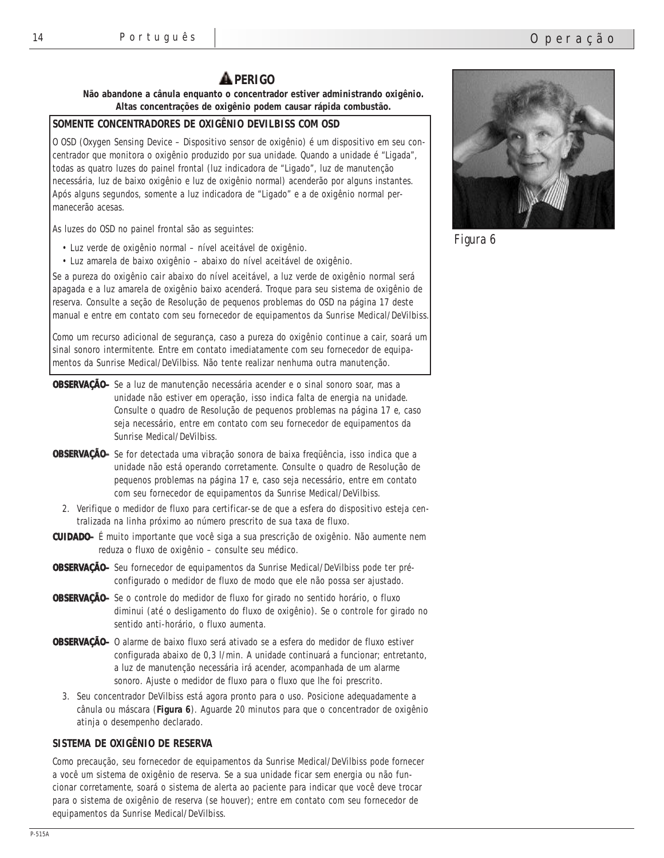# **A** PERIGO

**Não abandone a cânula enquanto o concentrador estiver administrando oxigênio. Altas concentrações de oxigênio podem causar rápida combustão.**

# **SOMENTE CONCENTRADORES DE OXIGÊNIO DEVILBISS COM OSD**

O OSD (Oxygen Sensing Device – Dispositivo sensor de oxigênio) é um dispositivo em seu concentrador que monitora o oxigênio produzido por sua unidade. Quando a unidade é "Ligada", todas as quatro luzes do painel frontal (luz indicadora de "Ligado", luz de manutenção necessária, luz de baixo oxigênio e luz de oxigênio normal) acenderão por alguns instantes. Após alguns segundos, somente a luz indicadora de "Ligado" e a de oxigênio normal permanecerão acesas.

As luzes do OSD no painel frontal são as seguintes:

- Luz verde de oxigênio normal nível aceitável de oxigênio.
- Luz amarela de baixo oxigênio abaixo do nível aceitável de oxigênio.

Se a pureza do oxigênio cair abaixo do nível aceitável, a luz verde de oxigênio normal será apagada e a luz amarela de oxigênio baixo acenderá. Troque para seu sistema de oxigênio de reserva. Consulte a seção de Resolução de pequenos problemas do OSD na página 17 deste manual e entre em contato com seu fornecedor de equipamentos da Sunrise Medical/DeVilbiss.

Como um recurso adicional de segurança, caso a pureza do oxigênio continue a cair, soará um sinal sonoro intermitente. Entre em contato imediatamente com seu fornecedor de equipamentos da Sunrise Medical/DeVilbiss. Não tente realizar nenhuma outra manutenção.

- **OBSERVAÇÃO–** Se a luz de manutenção necessária acender e o sinal sonoro soar, mas a unidade não estiver em operação, isso indica falta de energia na unidade. Consulte o quadro de Resolução de pequenos problemas na página 17 e, caso seja necessário, entre em contato com seu fornecedor de equipamentos da Sunrise Medical/DeVilbiss.
- **OBSERVAÇÃO–** Se for detectada uma vibração sonora de baixa freqüência, isso indica que a unidade não está operando corretamente. Consulte o quadro de Resolução de pequenos problemas na página 17 e, caso seja necessário, entre em contato com seu fornecedor de equipamentos da Sunrise Medical/DeVilbiss.
	- 2. Verifique o medidor de fluxo para certificar-se de que a esfera do dispositivo esteja centralizada na linha próximo ao número prescrito de sua taxa de fluxo.
- **CUIDADO–** É muito importante que você siga a sua prescrição de oxigênio. Não aumente nem reduza o fluxo de oxigênio – consulte seu médico.
- **OBSERVAÇÃO–** Seu fornecedor de equipamentos da Sunrise Medical/DeVilbiss pode ter préconfigurado o medidor de fluxo de modo que ele não possa ser ajustado.
- **OBSERVAÇÃO–** Se o controle do medidor de fluxo for girado no sentido horário, o fluxo diminui (até o desligamento do fluxo de oxigênio). Se o controle for girado no sentido anti-horário, o fluxo aumenta.
- **OBSERVAÇÃO–** O alarme de baixo fluxo será ativado se a esfera do medidor de fluxo estiver configurada abaixo de 0,3 l/min. A unidade continuará a funcionar; entretanto, a luz de manutenção necessária irá acender, acompanhada de um alarme sonoro. Ajuste o medidor de fluxo para o fluxo que lhe foi prescrito.
	- 3. Seu concentrador DeVilbiss está agora pronto para o uso. Posicione adequadamente a cânula ou máscara (**Figura 6**). Aguarde 20 minutos para que o concentrador de oxigênio atinja o desempenho declarado.

## **SISTEMA DE OXIGÊNIO DE RESERVA**

Como precaução, seu fornecedor de equipamentos da Sunrise Medical/DeVilbiss pode fornecer a você um sistema de oxigênio de reserva. Se a sua unidade ficar sem energia ou não funcionar corretamente, soará o sistema de alerta ao paciente para indicar que você deve trocar para o sistema de oxigênio de reserva (se houver); entre em contato com seu fornecedor de equipamentos da Sunrise Medical/DeVilbiss.



*Figura 6*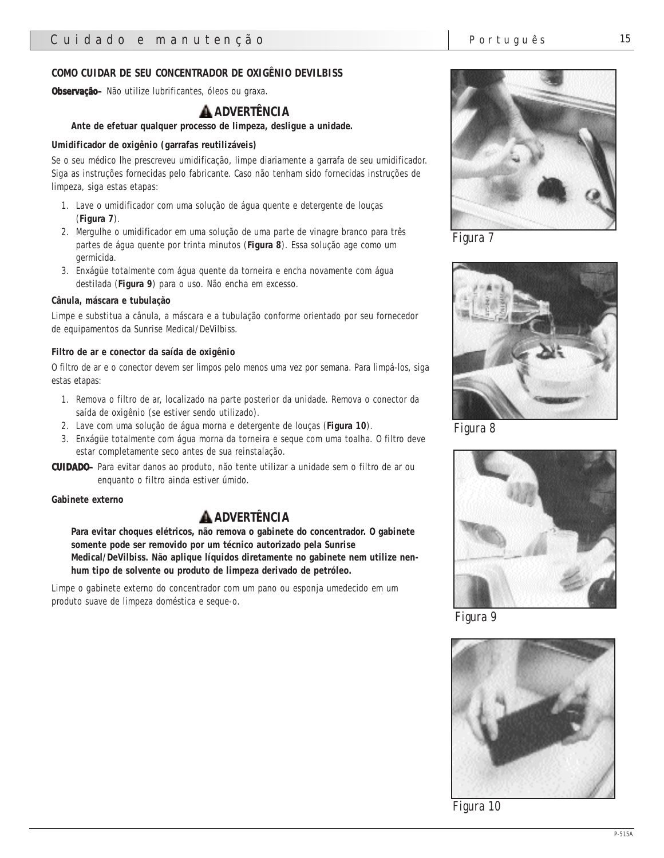#### **COMO CUIDAR DE SEU CONCENTRADOR DE OXIGÊNIO DEVILBISS**

**Observação–** Não utilize lubrificantes, óleos ou graxa.

# **ADVERTÊNCIA**

#### **Ante de efetuar qualquer processo de limpeza, desligue a unidade.**

#### **Umidificador de oxigênio (garrafas reutilizáveis)**

Se o seu médico lhe prescreveu umidificação, limpe diariamente a garrafa de seu umidificador. Siga as instruções fornecidas pelo fabricante. Caso não tenham sido fornecidas instruções de limpeza, siga estas etapas:

- 1. Lave o umidificador com uma solução de água quente e detergente de louças (**Figura 7**).
- 2. Mergulhe o umidificador em uma solução de uma parte de vinagre branco para três partes de água quente por trinta minutos (**Figura 8**). Essa solução age como um germicida.
- 3. Enxágüe totalmente com água quente da torneira e encha novamente com água destilada (**Figura 9**) para o uso. Não encha em excesso.

#### **Cânula, máscara e tubulação**

Limpe e substitua a cânula, a máscara e a tubulação conforme orientado por seu fornecedor de equipamentos da Sunrise Medical/DeVilbiss.

#### **Filtro de ar e conector da saída de oxigênio**

O filtro de ar e o conector devem ser limpos pelo menos uma vez por semana. Para limpá-los, siga estas etapas:

- 1. Remova o filtro de ar, localizado na parte posterior da unidade. Remova o conector da saída de oxigênio (se estiver sendo utilizado).
- 2. Lave com uma solução de água morna e detergente de louças (**Figura 10**).
- 3. Enxágüe totalmente com água morna da torneira e seque com uma toalha. O filtro deve estar completamente seco antes de sua reinstalação.
- **CUIDADO–** Para evitar danos ao produto, não tente utilizar a unidade sem o filtro de ar ou enquanto o filtro ainda estiver úmido.

#### **Gabinete externo**

## **ADVERTÊNCIA**

**Para evitar choques elétricos, não remova o gabinete do concentrador. O gabinete somente pode ser removido por um técnico autorizado pela Sunrise Medical/DeVilbiss. Não aplique líquidos diretamente no gabinete nem utilize nenhum tipo de solvente ou produto de limpeza derivado de petróleo.**

Limpe o gabinete externo do concentrador com um pano ou esponja umedecido em um produto suave de limpeza doméstica e seque-o.



*Figura 7*



*Figura 8*



*Figura 9*



*Figura 10*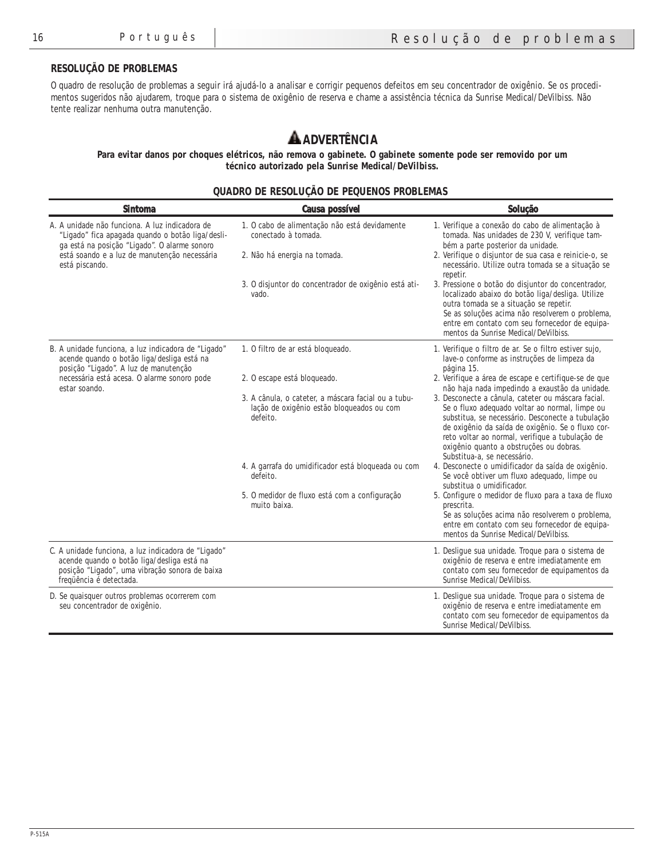## **RESOLUÇÃO DE PROBLEMAS**

O quadro de resolução de problemas a seguir irá ajudá-lo a analisar e corrigir pequenos defeitos em seu concentrador de oxigênio. Se os procedimentos sugeridos não ajudarem, troque para o sistema de oxigênio de reserva e chame a assistência técnica da Sunrise Medical/DeVilbiss. Não tente realizar nenhuma outra manutenção.

# **ADVERTÊNCIA**

**Para evitar danos por choques elétricos, não remova o gabinete. O gabinete somente pode ser removido por um técnico autorizado pela Sunrise Medical/DeVilbiss.**

#### **QUADRO DE RESOLUÇÃO DE PEQUENOS PROBLEMAS**

| <b>Sintoma</b>                                                                                                                                                                                                       | <b>Causa possível</b>                                                                                        | Solução                                                                                                                                                                                                                                                                                                                                    |
|----------------------------------------------------------------------------------------------------------------------------------------------------------------------------------------------------------------------|--------------------------------------------------------------------------------------------------------------|--------------------------------------------------------------------------------------------------------------------------------------------------------------------------------------------------------------------------------------------------------------------------------------------------------------------------------------------|
| A. A unidade não funciona. A luz indicadora de<br>"Ligado" fica apagada quando o botão liga/desli-<br>ga está na posição "Ligado". O alarme sonoro<br>está soando e a luz de manutenção necessária<br>está piscando. | 1. O cabo de alimentação não está devidamente<br>conectado à tomada.<br>2. Não há energia na tomada.         | 1. Verifique a conexão do cabo de alimentação à<br>tomada. Nas unidades de 230 V, verifique tam-<br>bém a parte posterior da unidade.<br>2. Verifique o disjuntor de sua casa e reinicie-o, se<br>necessário. Utilize outra tomada se a situação se<br>repetir.                                                                            |
|                                                                                                                                                                                                                      | 3. O disjuntor do concentrador de oxigênio está ati-<br>vado.                                                | 3. Pressione o botão do disjuntor do concentrador,<br>localizado abaixo do botão liga/desliga. Utilize<br>outra tomada se a situação se repetir.<br>Se as soluções acima não resolverem o problema,<br>entre em contato com seu fornecedor de equipa-<br>mentos da Sunrise Medical/DeVilbiss.                                              |
| B. A unidade funciona, a luz indicadora de "Ligado"<br>acende quando o botão liga/desliga está na<br>posição "Ligado". A luz de manutenção                                                                           | 1. O filtro de ar está bloqueado.                                                                            | 1. Verifique o filtro de ar. Se o filtro estiver sujo,<br>lave-o conforme as instruções de limpeza da<br>página 15.                                                                                                                                                                                                                        |
| necessária está acesa. O alarme sonoro pode<br>estar soando.                                                                                                                                                         | 2. O escape está bloqueado.                                                                                  | 2. Verifique a área de escape e certifique-se de que<br>não haja nada impedindo a exaustão da unidade.                                                                                                                                                                                                                                     |
|                                                                                                                                                                                                                      | 3. A cânula, o cateter, a máscara facial ou a tubu-<br>lação de oxigênio estão bloqueados ou com<br>defeito. | 3. Desconecte a cânula, cateter ou máscara facial.<br>Se o fluxo adequado voltar ao normal, limpe ou<br>substitua, se necessário. Desconecte a tubulação<br>de oxigênio da saída de oxigênio. Se o fluxo cor-<br>reto voltar ao normal, verifique a tubulação de<br>oxigênio quanto a obstruções ou dobras.<br>Substitua-a, se necessário. |
|                                                                                                                                                                                                                      | 4. A garrafa do umidificador está bloqueada ou com<br>defeito.                                               | 4. Desconecte o umidificador da saída de oxigênio.<br>Se você obtiver um fluxo adequado, limpe ou<br>substitua o umidificador.                                                                                                                                                                                                             |
|                                                                                                                                                                                                                      | 5. O medidor de fluxo está com a configuração<br>muito baixa.                                                | 5. Configure o medidor de fluxo para a taxa de fluxo<br>prescrita.<br>Se as soluções acima não resolverem o problema,<br>entre em contato com seu fornecedor de equipa-<br>mentos da Sunrise Medical/DeVilbiss.                                                                                                                            |
| C. A unidade funciona, a luz indicadora de "Ligado"<br>acende quando o botão liga/desliga está na<br>posição "Ligado", uma vibração sonora de baixa<br>freqüência é detectada.                                       |                                                                                                              | 1. Desligue sua unidade. Troque para o sistema de<br>oxigênio de reserva e entre imediatamente em<br>contato com seu fornecedor de equipamentos da<br>Sunrise Medical/DeVilbiss.                                                                                                                                                           |
| D. Se quaisquer outros problemas ocorrerem com<br>seu concentrador de oxigênio.                                                                                                                                      |                                                                                                              | 1. Desligue sua unidade. Troque para o sistema de<br>oxigênio de reserva e entre imediatamente em<br>contato com seu fornecedor de equipamentos da<br>Sunrise Medical/DeVilbiss.                                                                                                                                                           |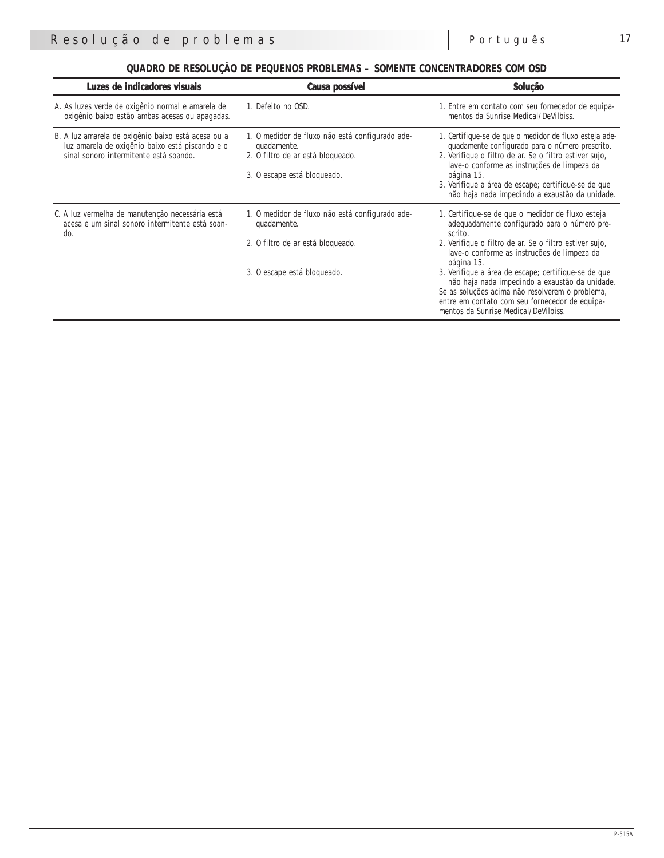| QUADRO DE RESOLUÇÃO DE PEQUENOS PROBLEMAS - SOMENTE CONCENTRADORES COM OSD |  |
|----------------------------------------------------------------------------|--|
|----------------------------------------------------------------------------|--|

| Luzes de indicadores visuais                                                                                                                    | <b>Causa possível</b>                                                                                                              | Solução                                                                                                                                                                                                                                                                                                                                   |
|-------------------------------------------------------------------------------------------------------------------------------------------------|------------------------------------------------------------------------------------------------------------------------------------|-------------------------------------------------------------------------------------------------------------------------------------------------------------------------------------------------------------------------------------------------------------------------------------------------------------------------------------------|
| A. As luzes verde de oxigênio normal e amarela de<br>oxigênio baixo estão ambas acesas ou apagadas.                                             | 1. Defeito no OSD.                                                                                                                 | 1. Entre em contato com seu fornecedor de equipa-<br>mentos da Sunrise Medical/DeVilbiss.                                                                                                                                                                                                                                                 |
| B. A luz amarela de oxigênio baixo está acesa ou a<br>luz amarela de oxigênio baixo está piscando e o<br>sinal sonoro intermitente está soando. | 1. O medidor de fluxo não está configurado ade-<br>quadamente.<br>2. O filtro de ar está bloqueado.<br>3. O escape está bloqueado. | 1. Certifique-se de que o medidor de fluxo esteja ade-<br>quadamente configurado para o número prescrito.<br>2. Verifique o filtro de ar. Se o filtro estiver sujo,<br>lave-o conforme as instruções de limpeza da<br>página 15.<br>3. Verifique a área de escape; certifique-se de que<br>não haja nada impedindo a exaustão da unidade. |
| C. A luz vermelha de manutenção necessária está<br>acesa e um sinal sonoro intermitente está soan-<br>do.                                       | 1. O medidor de fluxo não está configurado ade-<br>quadamente.<br>2. O filtro de ar está bloqueado.                                | 1. Certifique-se de que o medidor de fluxo esteja<br>adequadamente configurado para o número pre-<br>scrito.<br>2. Verifique o filtro de ar. Se o filtro estiver sujo,<br>lave-o conforme as instruções de limpeza da<br>página 15.                                                                                                       |
|                                                                                                                                                 | 3. O escape está bloqueado.                                                                                                        | 3. Verifique a área de escape; certifique-se de que<br>não haja nada impedindo a exaustão da unidade.<br>Se as soluções acima não resolverem o problema,<br>entre em contato com seu fornecedor de equipa-<br>mentos da Sunrise Medical/DeVilbiss.                                                                                        |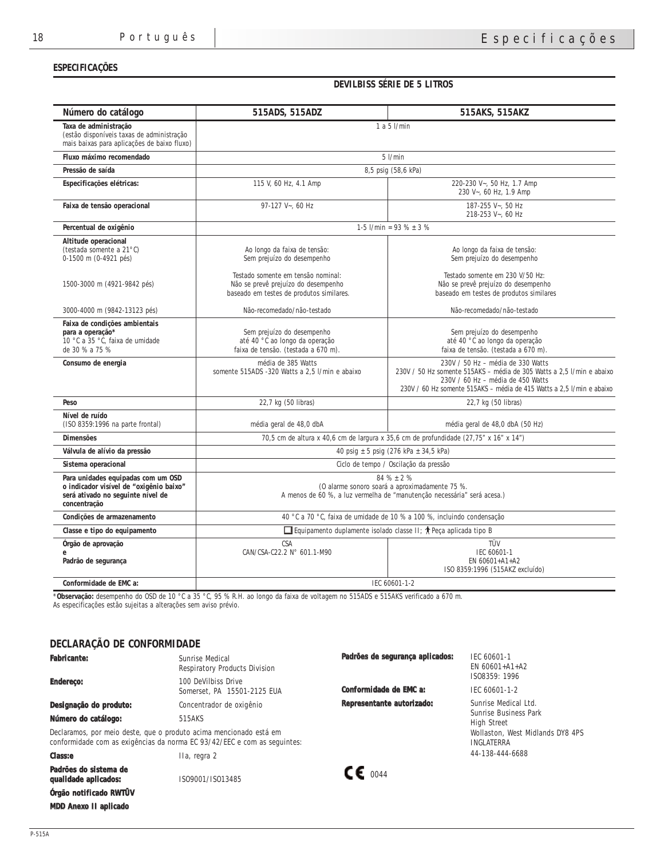### **ESPECIFICAÇÕES**

### **DEVILBISS SÉRIE DE 5 LITROS**

| Número do catálogo                                                                                                                 | 515ADS, 515ADZ                                                                                                                              | 515AKS, 515AKZ                                                                                                                                                                                                           |  |  |
|------------------------------------------------------------------------------------------------------------------------------------|---------------------------------------------------------------------------------------------------------------------------------------------|--------------------------------------------------------------------------------------------------------------------------------------------------------------------------------------------------------------------------|--|--|
| Taxa de administração<br>(estão disponíveis taxas de administração<br>mais baixas para aplicações de baixo fluxo)                  | $1a5$ $l/min$                                                                                                                               |                                                                                                                                                                                                                          |  |  |
| Fluxo máximo recomendado                                                                                                           | $5$ l/min                                                                                                                                   |                                                                                                                                                                                                                          |  |  |
| Pressão de saída                                                                                                                   | 8,5 psig (58,6 kPa)                                                                                                                         |                                                                                                                                                                                                                          |  |  |
| Especificações elétricas:                                                                                                          | 115 V, 60 Hz, 4.1 Amp                                                                                                                       | 220-230 V~, 50 Hz, 1.7 Amp<br>230 V~, 60 Hz, 1.9 Amp                                                                                                                                                                     |  |  |
| Faixa de tensão operacional                                                                                                        | 97-127 V~, 60 Hz                                                                                                                            | 187-255 V~, 50 Hz<br>218-253 V~, 60 Hz                                                                                                                                                                                   |  |  |
| Percentual de oxigênio                                                                                                             | 1-5 $1/\text{min} = 93\% \pm 3\%$                                                                                                           |                                                                                                                                                                                                                          |  |  |
| Altitude operacional<br>(testada somente a 21°C)<br>0-1500 m (0-4921 pés)<br>1500-3000 m (4921-9842 pés)                           | Ao longo da faixa de tensão:<br>Sem prejuízo do desempenho<br>Testado somente em tensão nominal:<br>Não se prevê prejuízo do desempenho     | Ao longo da faixa de tensão:<br>Sem prejuízo do desempenho<br>Testado somente em 230 V/50 Hz:<br>Não se prevê prejuízo do desempenho                                                                                     |  |  |
| 3000-4000 m (9842-13123 pés)                                                                                                       | baseado em testes de produtos similares.<br>Não-recomedado/não-testado                                                                      | baseado em testes de produtos similares<br>Não-recomedado/não-testado                                                                                                                                                    |  |  |
| Faixa de condições ambientais<br>para a operação*<br>10 °C a 35 °C, faixa de umidade<br>de 30 % a 75 %                             | Sem prejuízo do desempenho<br>até 40 °C ao longo da operação<br>faixa de tensão. (testada a 670 m).                                         | Sem prejuízo do desempenho<br>até 40 °C ao longo da operação<br>faixa de tensão. (testada a 670 m).                                                                                                                      |  |  |
| Consumo de energia                                                                                                                 | média de 385 Watts<br>somente 515ADS -320 Watts a 2.5 l/min e abaixo                                                                        | 230V / 50 Hz - média de 330 Watts<br>230V / 50 Hz somente 515AKS - média de 305 Watts a 2,5 l/min e abaixo<br>230V / 60 Hz - média de 450 Watts<br>230V / 60 Hz somente 515AKS - média de 415 Watts a 2,5 l/min e abaixo |  |  |
| Peso                                                                                                                               | 22,7 kg (50 libras)                                                                                                                         | 22,7 kg (50 libras)                                                                                                                                                                                                      |  |  |
| Nível de ruído<br>(ISO 8359:1996 na parte frontal)                                                                                 | média geral de 48,0 dbA                                                                                                                     | média geral de 48,0 dbA (50 Hz)                                                                                                                                                                                          |  |  |
| <b>Dimensões</b>                                                                                                                   |                                                                                                                                             | 70,5 cm de altura x 40,6 cm de largura x 35,6 cm de profundidade (27,75" x 16" x 14")                                                                                                                                    |  |  |
| Válvula de alívio da pressão                                                                                                       | 40 psig $\pm$ 5 psig (276 kPa $\pm$ 34,5 kPa)                                                                                               |                                                                                                                                                                                                                          |  |  |
| Sistema operacional                                                                                                                | Ciclo de tempo / Oscilação da pressão                                                                                                       |                                                                                                                                                                                                                          |  |  |
| Para unidades equipadas com um OSD<br>o indicador visível de "oxigênio baixo"<br>será ativado no seguinte nível de<br>concentração | $84\% \pm 2\%$<br>(O alarme sonoro soará a aproximadamente 75 %.<br>A menos de 60 %, a luz vermelha de "manutenção necessária" será acesa.) |                                                                                                                                                                                                                          |  |  |
| Condições de armazenamento                                                                                                         | 40 °C a 70 °C, faixa de umidade de 10 % a 100 %, incluindo condensação                                                                      |                                                                                                                                                                                                                          |  |  |
| Classe e tipo do equipamento                                                                                                       | □ Equipamento duplamente isolado classe II; $\uparrow$ Peça aplicada tipo B                                                                 |                                                                                                                                                                                                                          |  |  |
| Órgão de aprovação<br>Padrão de segurança                                                                                          | <b>CSA</b><br>CAN/CSA-C22.2 N° 601.1-M90                                                                                                    | TÜV<br>IEC 60601-1<br>EN 60601+A1+A2<br>ISO 8359:1996 (515AKZ excluído)                                                                                                                                                  |  |  |
| Conformidade de EMC a:                                                                                                             | IEC 60601-1-2                                                                                                                               |                                                                                                                                                                                                                          |  |  |

\***Observação:** desempenho do OSD de 10 °C a 35 °C, 95 % R.H. ao longo da faixa de voltagem no 515ADS e 515AKS verificado a 670 m. As especificações estão sujeitas a alterações sem aviso prévio.

## **DECLARAÇÃO DE CONFORMIDADE**

| <b>Fabricante:</b><br><b>Endereco:</b>                                                                                                         | Sunrise Medical<br><b>Respiratory Products Division</b><br>100 DeVilbiss Drive<br>Somerset. PA 15501-2125 EUA | Padrões de segurança aplicados:<br>Conformidade de EMC a: | IEC 60601-1<br>EN $60601+A1+A2$<br>IS08359: 1996<br>IEC 60601-1-2   |
|------------------------------------------------------------------------------------------------------------------------------------------------|---------------------------------------------------------------------------------------------------------------|-----------------------------------------------------------|---------------------------------------------------------------------|
| Designação do produto:<br>Número do catálogo:                                                                                                  | Concentrador de oxigênio<br>515AKS                                                                            | Representante autorizado:                                 | Sunrise Medical Ltd.<br>Sunrise Business Park<br><b>High Street</b> |
| Declaramos, por meio deste, que o produto acima mencionado está em<br>conformidade com as exigências da norma EC 93/42/EEC e com as seguintes: |                                                                                                               |                                                           | Wollaston, West Midlands DY8 4PS<br><b>INGLATERRA</b>               |
| <b>Class:e</b>                                                                                                                                 | IIa, regra 2                                                                                                  |                                                           | 44-138-444-6688                                                     |
| Padrões do sistema de<br>qualidade aplicados:                                                                                                  | IS09001/IS013485                                                                                              | $\mathsf{CE}_{0044}$                                      |                                                                     |
| Órgão notificado RWIUV                                                                                                                         |                                                                                                               |                                                           |                                                                     |
| <b>MDD</b> Anexo II aplicado                                                                                                                   |                                                                                                               |                                                           |                                                                     |